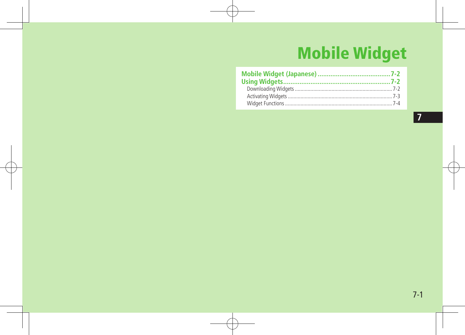# **Mobile Widget**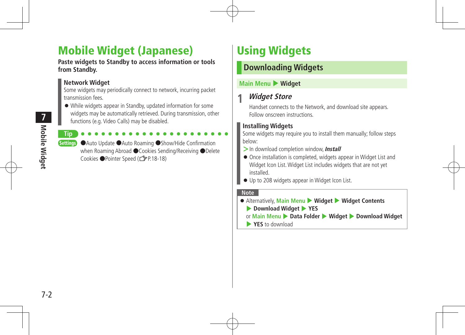# Mobile Widget (Japanese)

**Paste widgets to Standby to access information or tools from Standby.**

#### **Network Widget**

Some widgets may periodically connect to network, incurring packet transmission fees.

 While widgets appear in Standby, updated information for some widgets may be automatically retrieved. During transmission, other functions (e.g. Video Calls) may be disabled.

**Tip** Settings ●Auto Update ●Auto Roaming ●Show/Hide Confirmation when Roaming Abroad ●Cookies Sending/Receiving ●Delete Cookies ●Pointer Speed (【子P18-18)

# Using Widgets

# **Downloading Widgets**

#### **Main Menu** 4 **Widget**

# **1 Widget Store**

Handset connects to the Network, and download site appears. Follow onscreen instructions.

### **Installing Widgets**

Some widgets may require you to install them manually; follow steps below:

- **>**In download completion window,**Install**
- Once installation is completed, widgets appear in Widget List and Widget Icon List.Widget List includes widgets that are not yet installed.
- $\bullet$  Up to 208 widgets appear in Widget Icon List.

#### **Note**

- Alternatively, **Main Menu** 4 **Widget** 4 **Widget Contents**
	- 4 **Download Widget** 4 **YES**
	- or **Main Menu** 4 **Data Folder** 4 **Widget** 4 **Download Widget**
	- 4 **YES** to download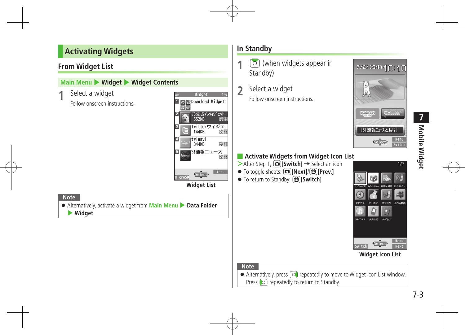# **Activating Widgets**

#### **From Widget List**

#### **Main Menu • Widget • Widget Conte**

| Main Menu ▶ Widget ▶ Widget Contents                                      |                                                                 |  |
|---------------------------------------------------------------------------|-----------------------------------------------------------------|--|
| Select a widget                                                           | Widget<br>1/6                                                   |  |
| Follow onscreen instructions.                                             | Download Widget<br>0N)                                          |  |
|                                                                           | お父さんウィジェット<br>e Xige<br>552KB                                   |  |
|                                                                           | Twitterウィジェ<br>144KB<br>路區                                      |  |
|                                                                           | twinavi<br>4<br><b>Configuration</b><br><b>Bis 200</b><br>344KB |  |
|                                                                           | S!速報ニュース<br>5<br><b>New</b><br>880                              |  |
|                                                                           | Menu<br>$\sqrt{5e ect}$<br>microSD                              |  |
|                                                                           | <b>Widget List</b>                                              |  |
| <b>Note</b>                                                               |                                                                 |  |
| • Alternatively, activate a widget from Main Menu > Data Folder<br>Widget |                                                                 |  |
|                                                                           |                                                                 |  |

### **In Standby**

- **1**  $\boxed{\circ}$  (when widgets appear in Standby) **2** Select <sup>a</sup> widget
	- Follow onscreen instructions.



# ■ **Activate Widgets from Widget Icon List**

- >After Step 1, **□**[Switch] → Select an icon
- To toggle sheets: **[co][Next]/**[**@][Prev.]**
- To return to Standby: **<del>函</del>[Switch]**



**Widget Icon List**

#### **Note**

 $\bullet$  Alternatively, press  $\circledcirc$  repeatedly to move to Widget Icon List window. Press  $\circled{)}$  repeatedly to return to Standby.